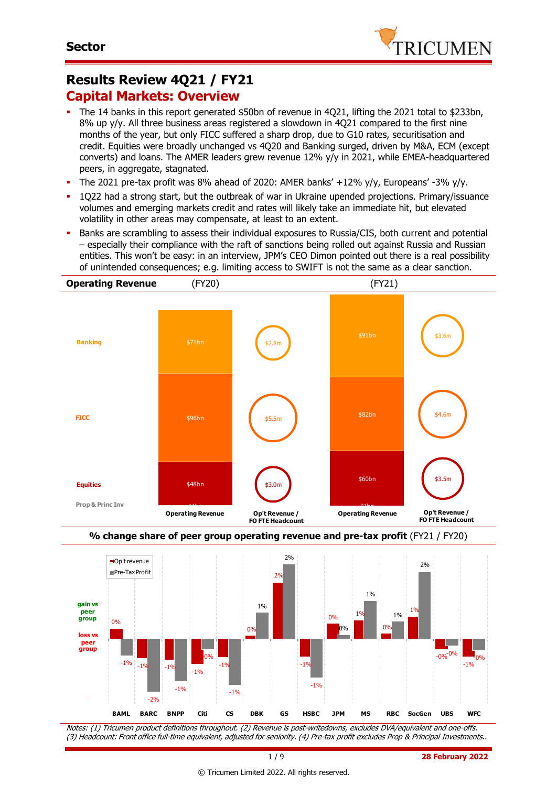

# **Results Review 4Q21 / FY21 Capital Markets: Overview**

- The 14 banks in this report generated \$50bn of revenue in 4Q21, lifting the 2021 total to \$233bn, 8% up y/y. All three business areas registered a slowdown in 4Q21 compared to the first nine months of the year, but only FICC suffered a sharp drop, due to G10 rates, securitisation and credit. Equities were broadly unchanged vs 4Q20 and Banking surged, driven by M&A, ECM (except converts) and loans. The AMER leaders grew revenue 12% y/y in 2021, while EMEA-headquartered peers, in aggregate, stagnated.
- The 2021 pre-tax profit was 8% ahead of 2020: AMER banks'  $+12\%$  y/y, Europeans' -3% y/y.
- 1Q22 had a strong start, but the outbreak of war in Ukraine upended projections. Primary/issuance volumes and emerging markets credit and rates will likely take an immediate hit, but elevated volatility in other areas may compensate, at least to an extent.
- Banks are scrambling to assess their individual exposures to Russia/CIS, both current and potential – especially their compliance with the raft of sanctions being rolled out against Russia and Russian entities. This won't be easy: in an interview, JPM's CEO Dimon pointed out there is a real possibility of unintended consequences; e.g. limiting access to SWIFT is not the same as a clear sanction.





Notes: (1) Tricumen product definitions throughout. (2) Revenue is post-writedowns, excludes DVA/equivalent and one-offs. (3) Headcount: Front office full-time equivalent, adjusted for seniority. (4) Pre-tax profit excludes Prop & Principal Investments..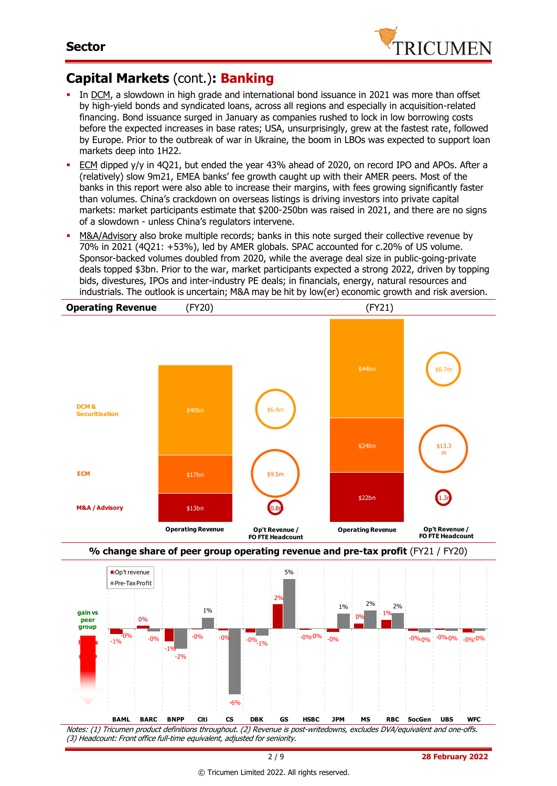

# **Capital Markets** (cont.)**: Banking**

- In DCM, a slowdown in high grade and international bond issuance in 2021 was more than offset by high-yield bonds and syndicated loans, across all regions and especially in acquisition-related financing. Bond issuance surged in January as companies rushed to lock in low borrowing costs before the expected increases in base rates; USA, unsurprisingly, grew at the fastest rate, followed by Europe. Prior to the outbreak of war in Ukraine, the boom in LBOs was expected to support loan markets deep into 1H22.
- ECM dipped y/y in 4Q21, but ended the year 43% ahead of 2020, on record IPO and APOs. After a (relatively) slow 9m21, EMEA banks' fee growth caught up with their AMER peers. Most of the banks in this report were also able to increase their margins, with fees growing significantly faster than volumes. China's crackdown on overseas listings is driving investors into private capital markets: market participants estimate that \$200-250bn was raised in 2021, and there are no signs of a slowdown - unless China's regulators intervene.
- M&A/Advisory also broke multiple records; banks in this note surged their collective revenue by 70% in 2021 (4Q21: +53%), led by AMER globals. SPAC accounted for c.20% of US volume. Sponsor-backed volumes doubled from 2020, while the average deal size in public-going-private deals topped \$3bn. Prior to the war, market participants expected a strong 2022, driven by topping bids, divestures, IPOs and inter-industry PE deals; in financials, energy, natural resources and industrials. The outlook is uncertain; M&A may be hit by low(er) economic growth and risk aversion.





Notes: (1) Tricumen product definitions throughout. (2) Revenue is post-writedowns, excludes DVA/equivalent and one-offs. (3) Headcount: Front office full-time equivalent, adjusted for seniority.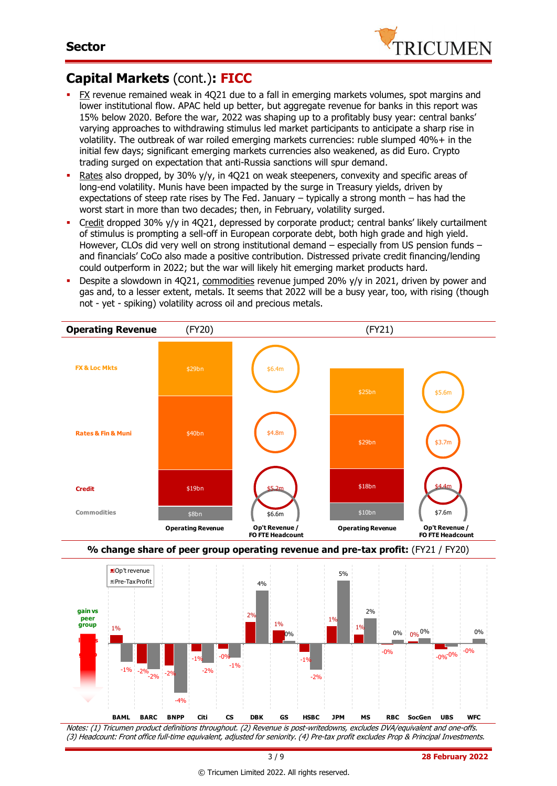

# **Capital Markets** (cont.)**: FICC**

- FX revenue remained weak in 4Q21 due to a fall in emerging markets volumes, spot margins and lower institutional flow. APAC held up better, but aggregate revenue for banks in this report was 15% below 2020. Before the war, 2022 was shaping up to a profitably busy year: central banks' varying approaches to withdrawing stimulus led market participants to anticipate a sharp rise in volatility. The outbreak of war roiled emerging markets currencies: ruble slumped 40%+ in the initial few days; significant emerging markets currencies also weakened, as did Euro. Crypto trading surged on expectation that anti-Russia sanctions will spur demand.
- Rates also dropped, by 30%  $y/y$ , in 4Q21 on weak steepeners, convexity and specific areas of long-end volatility. Munis have been impacted by the surge in Treasury yields, driven by expectations of steep rate rises by The Fed. January – typically a strong month – has had the worst start in more than two decades; then, in February, volatility surged.
- Credit dropped 30% y/y in 4Q21, depressed by corporate product; central banks' likely curtailment of stimulus is prompting a sell-off in European corporate debt, both high grade and high yield. However, CLOs did very well on strong institutional demand – especially from US pension funds – and financials' CoCo also made a positive contribution. Distressed private credit financing/lending could outperform in 2022; but the war will likely hit emerging market products hard.
- Despite a slowdown in 4Q21, commodities revenue jumped 20% y/y in 2021, driven by power and gas and, to a lesser extent, metals. It seems that 2022 will be a busy year, too, with rising (though also and for a resser extern, means it seems that ESEE mind.<br>Not - yet - spiking) volatility across oil and precious metals.





Notes: (1) Tricumen product definitions throughout. (2) Revenue is post-writedowns, excludes DVA/equivalent and one-offs. (3) Headcount: Front office full-time equivalent, adjusted for seniority. (4) Pre-tax profit excludes Prop & Principal Investments.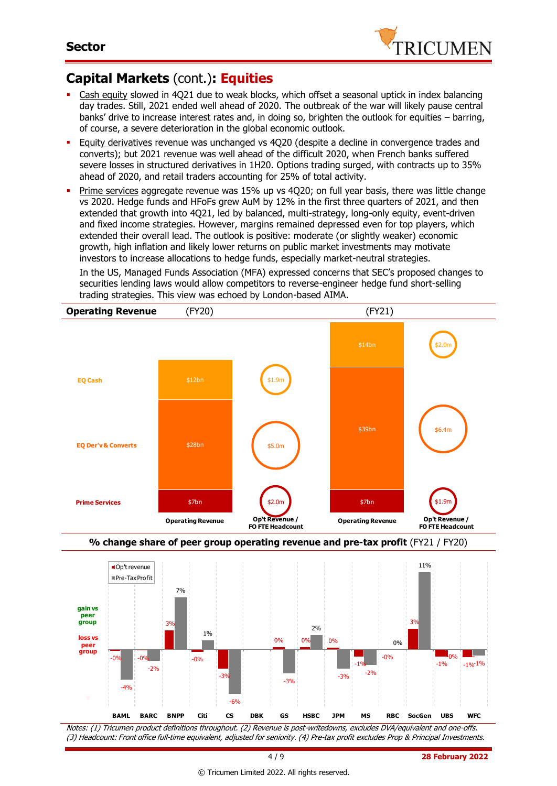

## **Capital Markets** (cont.)**: Equities**

- Cash equity slowed in 4Q21 due to weak blocks, which offset a seasonal uptick in index balancing day trades. Still, 2021 ended well ahead of 2020. The outbreak of the war will likely pause central banks' drive to increase interest rates and, in doing so, brighten the outlook for equities – barring, of course, a severe deterioration in the global economic outlook.
- Equity derivatives revenue was unchanged vs 4Q20 (despite a decline in convergence trades and converts); but 2021 revenue was well ahead of the difficult 2020, when French banks suffered severe losses in structured derivatives in 1H20. Options trading surged, with contracts up to 35% ahead of 2020, and retail traders accounting for 25% of total activity.
- **Prime services aggregate revenue was 15% up vs 4020; on full year basis, there was little change** vs 2020. Hedge funds and HFoFs grew AuM by 12% in the first three quarters of 2021, and then extended that growth into 4Q21, led by balanced, multi-strategy, long-only equity, event-driven and fixed income strategies. However, margins remained depressed even for top players, which extended their overall lead. The outlook is positive: moderate (or slightly weaker) economic growth, high inflation and likely lower returns on public market investments may motivate investors to increase allocations to hedge funds, especially market-neutral strategies.

In the US, Managed Funds Association (MFA) expressed concerns that SEC's proposed changes to securities lending laws would allow competitors to reverse-engineer hedge fund short-selling trading strategies. This view was echoed by London-based AIMA.







Notes: (1) Tricumen product definitions throughout. (2) Revenue is post-writedowns, excludes DVA/equivalent and one-offs. (3) Headcount: Front office full-time equivalent, adjusted for seniority. (4) Pre-tax profit excludes Prop & Principal Investments.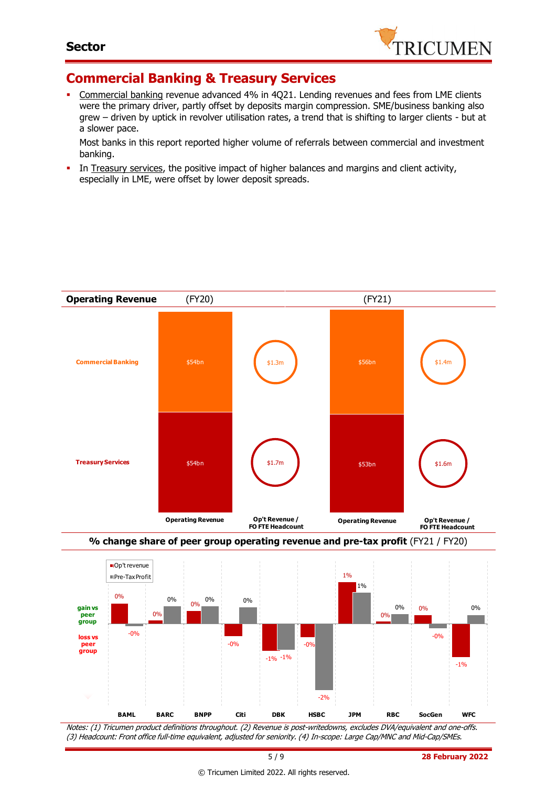

### **Commercial Banking & Treasury Services**

 Commercial banking revenue advanced 4% in 4Q21. Lending revenues and fees from LME clients were the primary driver, partly offset by deposits margin compression. SME/business banking also grew – driven by uptick in revolver utilisation rates, a trend that is shifting to larger clients - but at a slower pace.

Most banks in this report reported higher volume of referrals between commercial and investment banking.

In Treasury services, the positive impact of higher balances and margins and client activity, especially in LME, were offset by lower deposit spreads.





Notes: (1) Tricumen product definitions throughout. (2) Revenue is post-writedowns, excludes DVA/equivalent and one-offs. (3) Headcount: Front office full-time equivalent, adjusted for seniority. (4) In-scope: Large Cap/MNC and Mid-Cap/SMEs.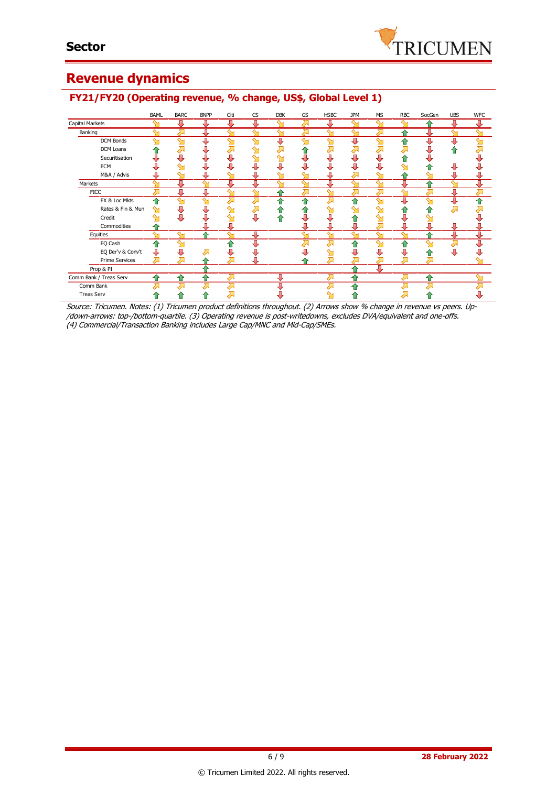

### **Revenue dynamics**

### BAML BARC BNPP Citi CS DBK GS HSBC JPM MS RBC SocGen UBS WFC Capital Markets л 專 л л Banking ↑ DCM Bonds ⊽ ∪ 全 л ♬ DCM Loans <mark>↑</mark>  $\bar{\bar{z}}$ İ ⊼  $\bar{\gamma}$ Ž. 츄 元 À  $\overline{\mathbf{z}}$ J 全 Ť Securitisation J  $\mathbf{J}$ Ť J j j J ⇑ J j ∾ ⇘ ě š J ě š j ī ECM  $\sim$ Ò J. ⋒ Д Д  $\sim$ M&A / Advis Д Ū J Д ⇧ J **Markets** € J ₩ ⊕ **FICC** ⋒ FX & Loc Mkts Ĵ ⋒ € € € €  $\bar{\mathbf{J}}$ Rates & Fin & Mun  $\bar{\mathbf{Y}}$  $\bar{\mathbf{J}}$ ⇘ 출 츈 € 合  $\sum_{i=1}^{n}$ 겨  $\hat{\mathbf{r}}$ Credit J. J.  $\mathbf{y}$ ⊕ J J. J J, ⇧ ⇑ Commodities ↥ J ⊕ ┹ ⊕ J ⊕ **Equities** ና ⋒ EQ Cash ⋒ 즘 € € j J j İ j j J j ť. EQ Der'v & Conv't Σ 企 Ò Á Prime Services Σ ⇑ Prop & PI 주 Comm Bank / Treas Serv ↑ ⋒ Comm Bank ብ 合 € J, Treas ServЛ △ 全 ♠

### **FY21/FY20 (Operating revenue, % change, US\$, Global Level 1)**

Source: Tricumen. Notes: (1) Tricumen product definitions throughout. (2) Arrows show % change in revenue vs peers. Up- /down-arrows: top-/bottom-quartile. (3) Operating revenue is post-writedowns, excludes DVA/equivalent and one-offs. (4) Commercial/Transaction Banking includes Large Cap/MNC and Mid-Cap/SMEs.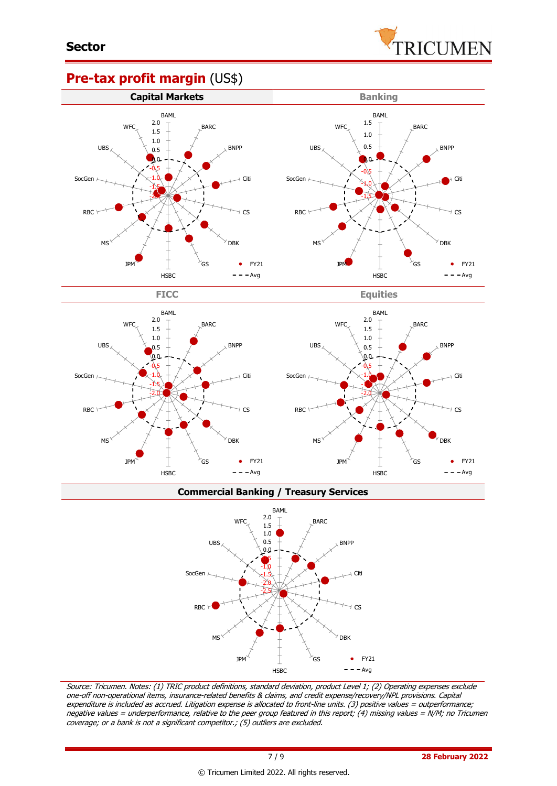

### **Pre-tax profit margin** (US\$)

HSBC



**Commercial Banking / Treasury Services**

**HSBC** 

 $- -$ Avg



Source: Tricumen. Notes: (1) TRIC product definitions, standard deviation, product Level 1; (2) Operating expenses exclude one-off non-operational items, insurance-related benefits & claims, and credit expense/recovery/NPL provisions. Capital expenditure is included as accrued. Litigation expense is allocated to front-line units. (3) positive values = outperformance; negative values = underperformance, relative to the peer group featured in this report; (4) missing values = N/M; no Tricumen coverage; or a bank is not a significant competitor.; (5) outliers are excluded.

 $- - Avg$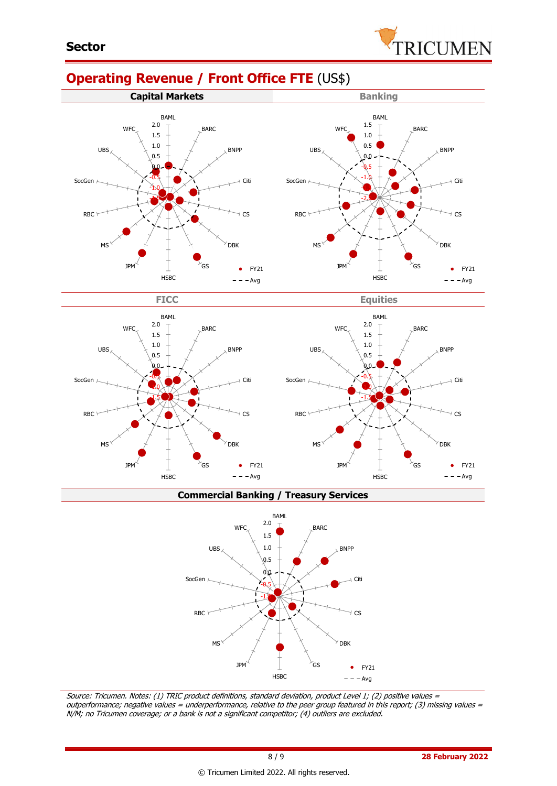# **Operating Revenue / Front Office FTE** (US\$)







**Commercial Banking / Treasury Services**



Source: Tricumen. Notes: (1) TRIC product definitions, standard deviation, product Level 1; (2) positive values <sup>=</sup> outperformance; negative values = underperformance, relative to the peer group featured in this report; (3) missing values = N/M; no Tricumen coverage; or a bank is not a significant competitor; (4) outliers are excluded.